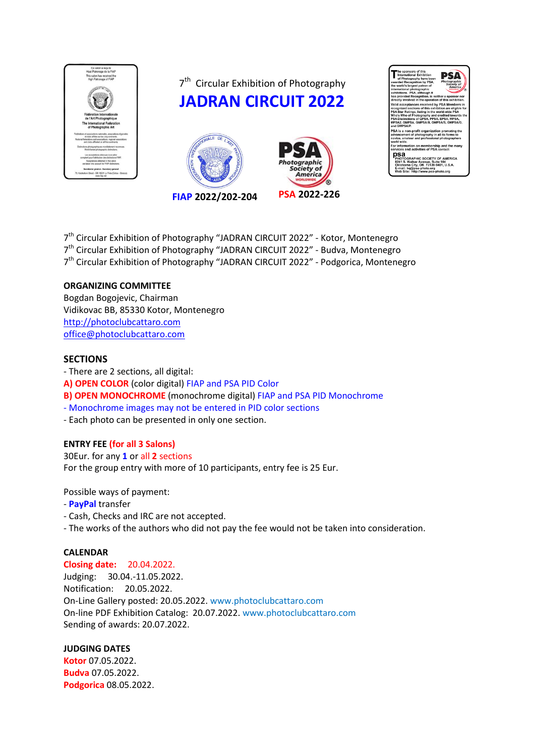

7<sup>th</sup> Circular Exhibition of Photography

**JADRAN CIRCUIT 2022**





7<sup>th</sup> Circular Exhibition of Photography "JADRAN CIRCUIT 2022" - Kotor, Montenegro 7<sup>th</sup> Circular Exhibition of Photography "JADRAN CIRCUIT 2022" - Budva, Montenegro 7<sup>th</sup> Circular Exhibition of Photography "JADRAN CIRCUIT 2022" - Podgorica, Montenegro

### **ORGANIZING COMMITTEE**

Bogdan Bogojevic, Chairman Vidikovac BB, 85330 Kotor, Montenegro [http://photoclubcattaro.com](http://photoclubcattaro.com/main/index.php) [office@photoclubcattaro.com](mailto:office@photoclubcattaro.com) 

### **SECTIONS**

- There are 2 sections, all digital: **A) OPEN COLOR** (color digital) FIAP and PSA PID Color **B) OPEN MONOCHROME** (monochrome digital) FIAP and PSA PID Monochrome - Monochrome images may not be entered in PID color sections

- Each photo can be presented in only one section.

### **ENTRY FEE (for all 3 Salons)**

30Eur. for any **1** or all **2** sections For the group entry with more of 10 participants, entry fee is 25 Eur.

Possible ways of payment:

- **PayPal** transfer
- Cash, Checks and IRC are not accepted.
- The works of the authors who did not pay the fee would not be taken into consideration.

### **CALENDAR**

**Closing date:** 20.04.2022. Judging: 30.04.-11.05.2022. Notification: 20.05.2022. On-Line Gallery posted: 20.05.2022. www.photoclubcattaro.com On-line PDF Exhibition Catalog: 20.07.2022. www.photoclubcattaro.com Sending of awards: 20.07.2022.

### **JUDGING DATES**

**Kotor** 07.05.2022. **Budva** 07.05.2022. **Podgorica** 08.05.2022.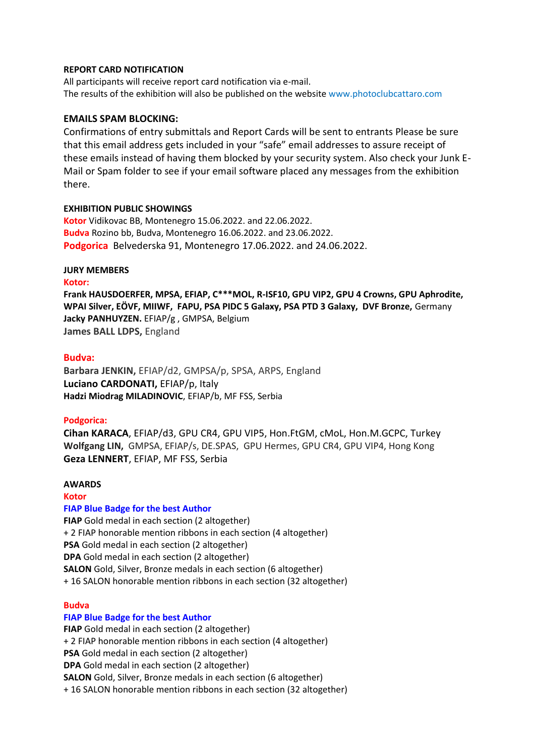### **REPORT CARD NOTIFICATION**

All participants will receive report card notification via e-mail. The results of the exhibition will also be published on the website www.photoclubcattaro.com

#### **EMAILS SPAM BLOCKING:**

Confirmations of entry submittals and Report Cards will be sent to entrants Please be sure that this email address gets included in your "safe" email addresses to assure receipt of these emails instead of having them blocked by your security system. Also check your Junk E-Mail or Spam folder to see if your email software placed any messages from the exhibition there.

#### **EXHIBITION PUBLIC SHOWINGS**

**Kotor** Vidikovac BB, Montenegro 15.06.2022. and 22.06.2022. **Budva** Rozino bb, Budva, Montenegro 16.06.2022. and 23.06.2022. **Podgorica** Belvederska 91, Montenegro 17.06.2022. and 24.06.2022.

### **JURY MEMBERS**

#### **Kotor:**

**Frank HAUSDOERFER, MPSA, EFIAP, C\*\*\*MOL, R-ISF10, GPU VIP2, GPU 4 Crowns, GPU Aphrodite, WPAI Silver, EÖVF, MIIWF, FAPU, PSA PIDC 5 Galaxy, PSA PTD 3 Galaxy, DVF Bronze,** Germany **Jacky PANHUYZEN.** EFIAP/g , GMPSA, Belgium **James BALL LDPS,** England

#### **Budva:**

**Barbara JENKIN,** EFIAP/d2, GMPSA/p, SPSA, ARPS, England **Luciano CARDONATI,** EFIAP/p, Italy **Hadzi Miodrag MILADINOVIC**, EFIAP/b, MF FSS, Serbia

#### **Podgorica:**

**Cihan KARACA**, EFIAP/d3, GPU CR4, GPU VIP5, Hon.FtGM, cMoL, Hon.M.GCPC, Turkey **Wolfgang LIN,** GMPSA, EFIAP/s, DE.SPAS, GPU Hermes, GPU CR4, GPU VIP4, Hong Kong **Geza LENNERT**, EFIAP, MF FSS, Serbia

### **AWARDS**

#### **Kotor**

### **FIAP Blue Badge for the best Author**

**FIAP** Gold medal in each section (2 altogether) + 2 FIAP honorable mention ribbons in each section (4 altogether) **PSA** Gold medal in each section (2 altogether) **DPA** Gold medal in each section (2 altogether) **SALON** Gold, Silver, Bronze medals in each section (6 altogether) + 16 SALON honorable mention ribbons in each section (32 altogether)

#### **Budva**

#### **FIAP Blue Badge for the best Author**

**FIAP** Gold medal in each section (2 altogether) + 2 FIAP honorable mention ribbons in each section (4 altogether) **PSA** Gold medal in each section (2 altogether) **DPA** Gold medal in each section (2 altogether) **SALON** Gold, Silver, Bronze medals in each section (6 altogether) + 16 SALON honorable mention ribbons in each section (32 altogether)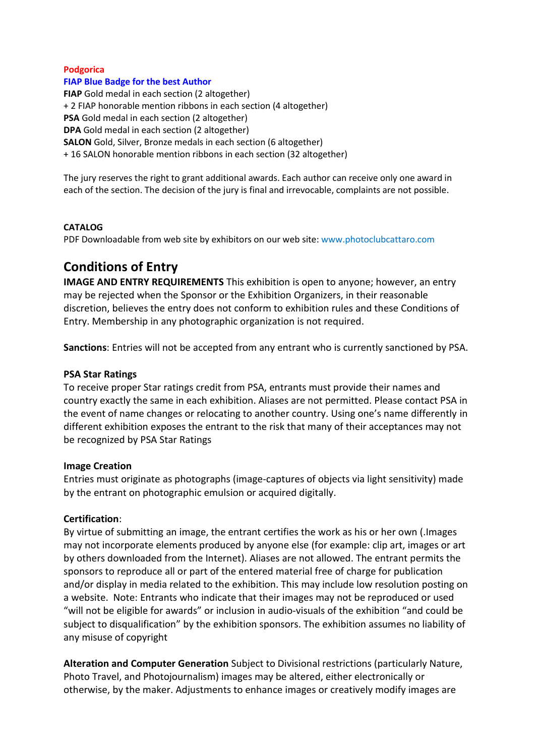### **Podgorica**

#### **FIAP Blue Badge for the best Author**

**FIAP** Gold medal in each section (2 altogether) + 2 FIAP honorable mention ribbons in each section (4 altogether) **PSA** Gold medal in each section (2 altogether) **DPA** Gold medal in each section (2 altogether) **SALON** Gold, Silver, Bronze medals in each section (6 altogether) + 16 SALON honorable mention ribbons in each section (32 altogether)

The jury reserves the right to grant additional awards. Each author can receive only one award in each of the section. The decision of the jury is final and irrevocable, complaints are not possible.

### **CATALOG**

PDF Downloadable from web site by exhibitors on our web site: www.photoclubcattaro.com

# **Conditions of Entry**

**IMAGE AND ENTRY REQUIREMENTS** This exhibition is open to anyone; however, an entry may be rejected when the Sponsor or the Exhibition Organizers, in their reasonable discretion, believes the entry does not conform to exhibition rules and these Conditions of Entry. Membership in any photographic organization is not required.

**Sanctions**: Entries will not be accepted from any entrant who is currently sanctioned by PSA.

### **PSA Star Ratings**

To receive proper Star ratings credit from PSA, entrants must provide their names and country exactly the same in each exhibition. Aliases are not permitted. Please contact PSA in the event of name changes or relocating to another country. Using one's name differently in different exhibition exposes the entrant to the risk that many of their acceptances may not be recognized by PSA Star Ratings

### **Image Creation**

Entries must originate as photographs (image-captures of objects via light sensitivity) made by the entrant on photographic emulsion or acquired digitally.

### **Certification**:

By virtue of submitting an image, the entrant certifies the work as his or her own (.Images may not incorporate elements produced by anyone else (for example: clip art, images or art by others downloaded from the Internet). Aliases are not allowed. The entrant permits the sponsors to reproduce all or part of the entered material free of charge for publication and/or display in media related to the exhibition. This may include low resolution posting on a website. Note: Entrants who indicate that their images may not be reproduced or used "will not be eligible for awards" or inclusion in audio-visuals of the exhibition "and could be subject to disqualification" by the exhibition sponsors. The exhibition assumes no liability of any misuse of copyright

**Alteration and Computer Generation** Subject to Divisional restrictions (particularly Nature, Photo Travel, and Photojournalism) images may be altered, either electronically or otherwise, by the maker. Adjustments to enhance images or creatively modify images are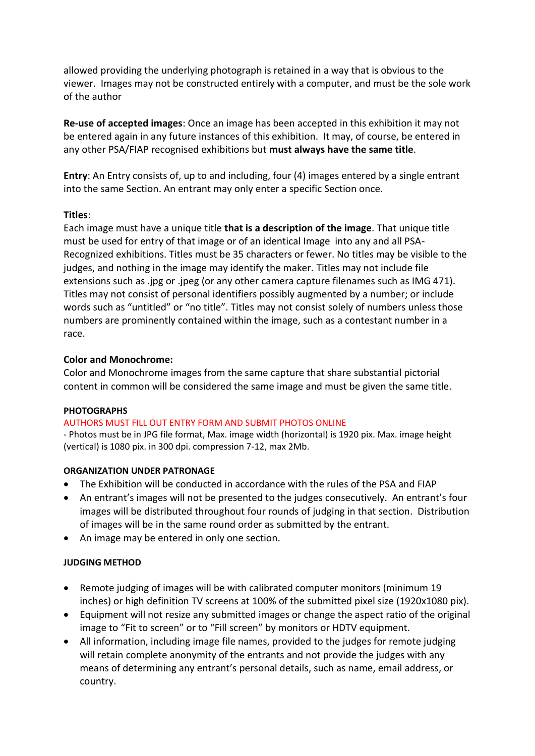allowed providing the underlying photograph is retained in a way that is obvious to the viewer. Images may not be constructed entirely with a computer, and must be the sole work of the author

**Re-use of accepted images**: Once an image has been accepted in this exhibition it may not be entered again in any future instances of this exhibition. It may, of course, be entered in any other PSA/FIAP recognised exhibitions but **must always have the same title**.

**Entry**: An Entry consists of, up to and including, four (4) images entered by a single entrant into the same Section. An entrant may only enter a specific Section once.

# **Titles**:

Each image must have a unique title **that is a description of the image**. That unique title must be used for entry of that image or of an identical Image into any and all PSA-Recognized exhibitions. Titles must be 35 characters or fewer. No titles may be visible to the judges, and nothing in the image may identify the maker. Titles may not include file extensions such as .jpg or .jpeg (or any other camera capture filenames such as IMG 471). Titles may not consist of personal identifiers possibly augmented by a number; or include words such as "untitled" or "no title". Titles may not consist solely of numbers unless those numbers are prominently contained within the image, such as a contestant number in a race.

# **Color and Monochrome:**

Color and Monochrome images from the same capture that share substantial pictorial content in common will be considered the same image and must be given the same title.

### **PHOTOGRAPHS**

# AUTHORS MUST FILL OUT ENTRY FORM AND SUBMIT PHOTOS ONLINE

- Photos must be in JPG file format, Max. image width (horizontal) is 1920 pix. Max. image height (vertical) is 1080 pix. in 300 dpi. compression 7-12, max 2Mb.

### **ORGANIZATION UNDER PATRONAGE**

- The Exhibition will be conducted in accordance with the rules of the PSA and FIAP
- An entrant's images will not be presented to the judges consecutively. An entrant's four images will be distributed throughout four rounds of judging in that section. Distribution of images will be in the same round order as submitted by the entrant.
- An image may be entered in only one section.

# **JUDGING METHOD**

- Remote judging of images will be with calibrated computer monitors (minimum 19 inches) or high definition TV screens at 100% of the submitted pixel size (1920x1080 pix).
- Equipment will not resize any submitted images or change the aspect ratio of the original image to "Fit to screen" or to "Fill screen" by monitors or HDTV equipment.
- All information, including image file names, provided to the judges for remote judging will retain complete anonymity of the entrants and not provide the judges with any means of determining any entrant's personal details, such as name, email address, or country.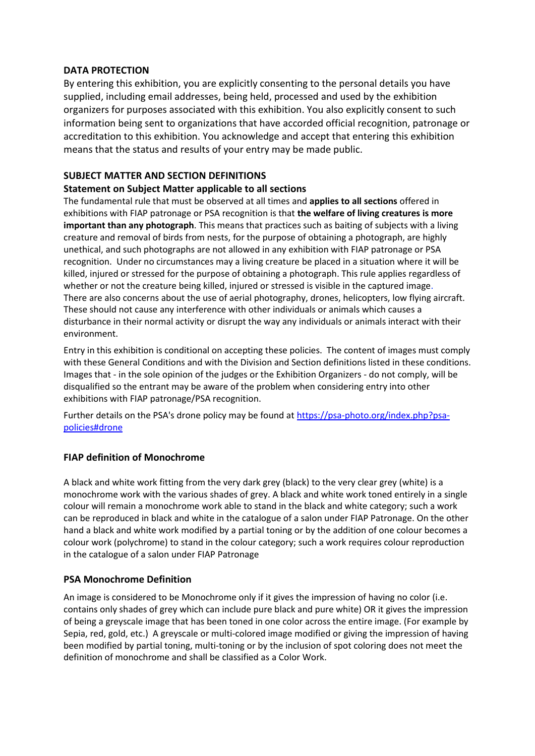### **DATA PROTECTION**

By entering this exhibition, you are explicitly consenting to the personal details you have supplied, including email addresses, being held, processed and used by the exhibition organizers for purposes associated with this exhibition. You also explicitly consent to such information being sent to organizations that have accorded official recognition, patronage or accreditation to this exhibition. You acknowledge and accept that entering this exhibition means that the status and results of your entry may be made public.

### **SUBJECT MATTER AND SECTION DEFINITIONS**

### **Statement on Subject Matter applicable to all sections**

The fundamental rule that must be observed at all times and **applies to all sections** offered in exhibitions with FIAP patronage or PSA recognition is that **the welfare of living creatures is more important than any photograph**. This means that practices such as baiting of subjects with a living creature and removal of birds from nests, for the purpose of obtaining a photograph, are highly unethical, and such photographs are not allowed in any exhibition with FIAP patronage or PSA recognition. Under no circumstances may a living creature be placed in a situation where it will be killed, injured or stressed for the purpose of obtaining a photograph. This rule applies regardless of whether or not the creature being killed, injured or stressed is visible in the captured image. There are also concerns about the use of aerial photography, drones, helicopters, low flying aircraft. These should not cause any interference with other individuals or animals which causes a disturbance in their normal activity or disrupt the way any individuals or animals interact with their environment.

Entry in this exhibition is conditional on accepting these policies. The content of images must comply with these General Conditions and with the Division and Section definitions listed in these conditions. Images that - in the sole opinion of the judges or the Exhibition Organizers - do not comply, will be disqualified so the entrant may be aware of the problem when considering entry into other exhibitions with FIAP patronage/PSA recognition.

Further details on the PSA's drone policy may be found at [https://psa-photo.org/index.php?psa](https://psa-photo.org/index.php?psa-policies%23drone)[policies#drone](https://psa-photo.org/index.php?psa-policies%23drone)

# **FIAP definition of Monochrome**

A black and white work fitting from the very dark grey (black) to the very clear grey (white) is a monochrome work with the various shades of grey. A black and white work toned entirely in a single colour will remain a monochrome work able to stand in the black and white category; such a work can be reproduced in black and white in the catalogue of a salon under FIAP Patronage. On the other hand a black and white work modified by a partial toning or by the addition of one colour becomes a colour work (polychrome) to stand in the colour category; such a work requires colour reproduction in the catalogue of a salon under FIAP Patronage

### **PSA Monochrome Definition**

An image is considered to be Monochrome only if it gives the impression of having no color (i.e. contains only shades of grey which can include pure black and pure white) OR it gives the impression of being a greyscale image that has been toned in one color across the entire image. (For example by Sepia, red, gold, etc.) A greyscale or multi-colored image modified or giving the impression of having been modified by partial toning, multi-toning or by the inclusion of spot coloring does not meet the definition of monochrome and shall be classified as a Color Work.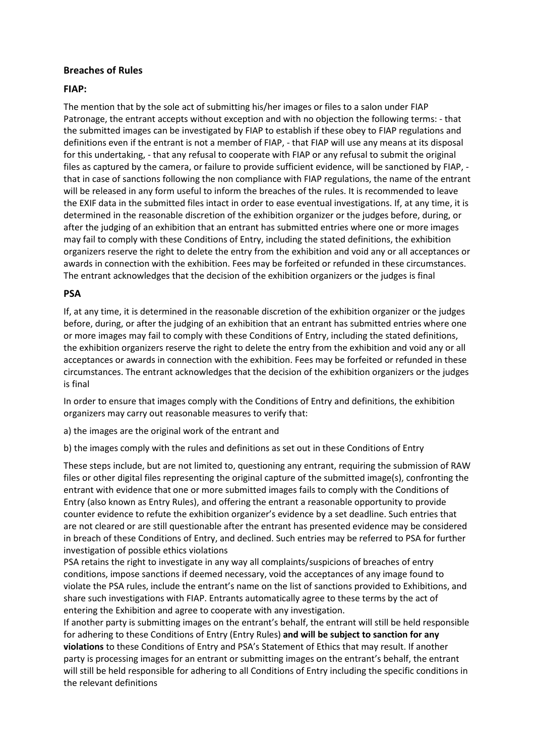### **Breaches of Rules**

### **FIAP:**

The mention that by the sole act of submitting his/her images or files to a salon under FIAP Patronage, the entrant accepts without exception and with no objection the following terms: - that the submitted images can be investigated by FIAP to establish if these obey to FIAP regulations and definitions even if the entrant is not a member of FIAP, - that FIAP will use any means at its disposal for this undertaking, - that any refusal to cooperate with FIAP or any refusal to submit the original files as captured by the camera, or failure to provide sufficient evidence, will be sanctioned by FIAP, that in case of sanctions following the non compliance with FIAP regulations, the name of the entrant will be released in any form useful to inform the breaches of the rules. It is recommended to leave the EXIF data in the submitted files intact in order to ease eventual investigations. If, at any time, it is determined in the reasonable discretion of the exhibition organizer or the judges before, during, or after the judging of an exhibition that an entrant has submitted entries where one or more images may fail to comply with these Conditions of Entry, including the stated definitions, the exhibition organizers reserve the right to delete the entry from the exhibition and void any or all acceptances or awards in connection with the exhibition. Fees may be forfeited or refunded in these circumstances. The entrant acknowledges that the decision of the exhibition organizers or the judges is final

### **PSA**

If, at any time, it is determined in the reasonable discretion of the exhibition organizer or the judges before, during, or after the judging of an exhibition that an entrant has submitted entries where one or more images may fail to comply with these Conditions of Entry, including the stated definitions, the exhibition organizers reserve the right to delete the entry from the exhibition and void any or all acceptances or awards in connection with the exhibition. Fees may be forfeited or refunded in these circumstances. The entrant acknowledges that the decision of the exhibition organizers or the judges is final

In order to ensure that images comply with the Conditions of Entry and definitions, the exhibition organizers may carry out reasonable measures to verify that:

a) the images are the original work of the entrant and

b) the images comply with the rules and definitions as set out in these Conditions of Entry

These steps include, but are not limited to, questioning any entrant, requiring the submission of RAW files or other digital files representing the original capture of the submitted image(s), confronting the entrant with evidence that one or more submitted images fails to comply with the Conditions of Entry (also known as Entry Rules), and offering the entrant a reasonable opportunity to provide counter evidence to refute the exhibition organizer's evidence by a set deadline. Such entries that are not cleared or are still questionable after the entrant has presented evidence may be considered in breach of these Conditions of Entry, and declined. Such entries may be referred to PSA for further investigation of possible ethics violations

PSA retains the right to investigate in any way all complaints/suspicions of breaches of entry conditions, impose sanctions if deemed necessary, void the acceptances of any image found to violate the PSA rules, include the entrant's name on the list of sanctions provided to Exhibitions, and share such investigations with FIAP. Entrants automatically agree to these terms by the act of entering the Exhibition and agree to cooperate with any investigation.

If another party is submitting images on the entrant's behalf, the entrant will still be held responsible for adhering to these Conditions of Entry (Entry Rules) **and will be subject to sanction for any violations** to these Conditions of Entry and PSA's Statement of Ethics that may result. If another party is processing images for an entrant or submitting images on the entrant's behalf, the entrant will still be held responsible for adhering to all Conditions of Entry including the specific conditions in the relevant definitions